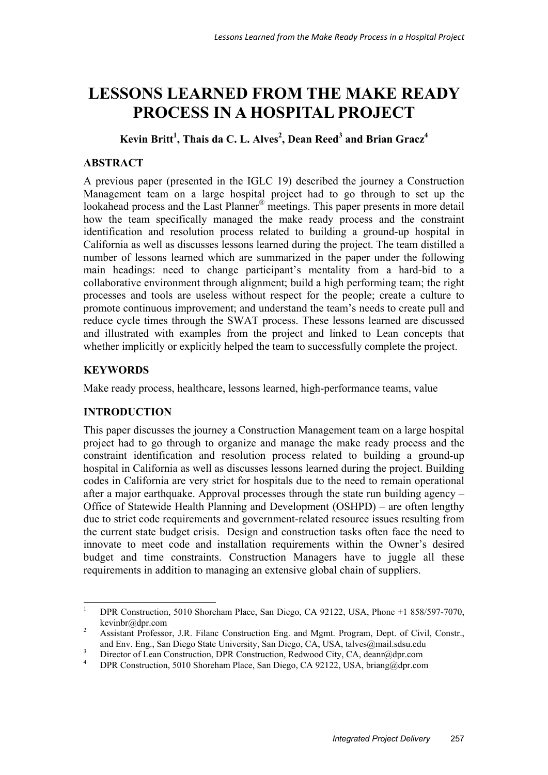# **LESSONS LEARNED FROM THE MAKE READY PROCESS IN A HOSPITAL PROJECT**

Kevin Britt<sup>1</sup>, Thais da C. L. Alves<sup>2</sup>, Dean Reed<sup>3</sup> and Brian Gracz<sup>4</sup>

# **ABSTRACT**

A previous paper (presented in the IGLC 19) described the journey a Construction Management team on a large hospital project had to go through to set up the lookahead process and the Last Planner® meetings. This paper presents in more detail how the team specifically managed the make ready process and the constraint identification and resolution process related to building a ground-up hospital in California as well as discusses lessons learned during the project. The team distilled a number of lessons learned which are summarized in the paper under the following main headings: need to change participant's mentality from a hard-bid to a collaborative environment through alignment; build a high performing team; the right processes and tools are useless without respect for the people; create a culture to promote continuous improvement; and understand the team's needs to create pull and reduce cycle times through the SWAT process. These lessons learned are discussed and illustrated with examples from the project and linked to Lean concepts that whether implicitly or explicitly helped the team to successfully complete the project.

# **KEYWORDS**

Make ready process, healthcare, lessons learned, high-performance teams, value

# **INTRODUCTION**

This paper discusses the journey a Construction Management team on a large hospital project had to go through to organize and manage the make ready process and the constraint identification and resolution process related to building a ground-up hospital in California as well as discusses lessons learned during the project. Building codes in California are very strict for hospitals due to the need to remain operational after a major earthquake. Approval processes through the state run building agency – Office of Statewide Health Planning and Development (OSHPD) – are often lengthy due to strict code requirements and government-related resource issues resulting from the current state budget crisis. Design and construction tasks often face the need to innovate to meet code and installation requirements within the Owner's desired budget and time constraints. Construction Managers have to juggle all these requirements in addition to managing an extensive global chain of suppliers.

 $\frac{1}{1}$  DPR Construction, 5010 Shoreham Place, San Diego, CA 92122, USA, Phone +1 858/597-7070, kevinbr@dpr.com

Assistant Professor, J.R. Filanc Construction Eng. and Mgmt. Program, Dept. of Civil, Constr., and Env. Eng., San Diego State University, San Diego, CA, USA, talves@mail.sdsu.edu

<sup>3</sup>  $\frac{3}{4}$  Director of Lean Construction, DPR Construction, Redwood City, CA, deanr@dpr.com

DPR Construction, 5010 Shoreham Place, San Diego, CA 92122, USA, briang@dpr.com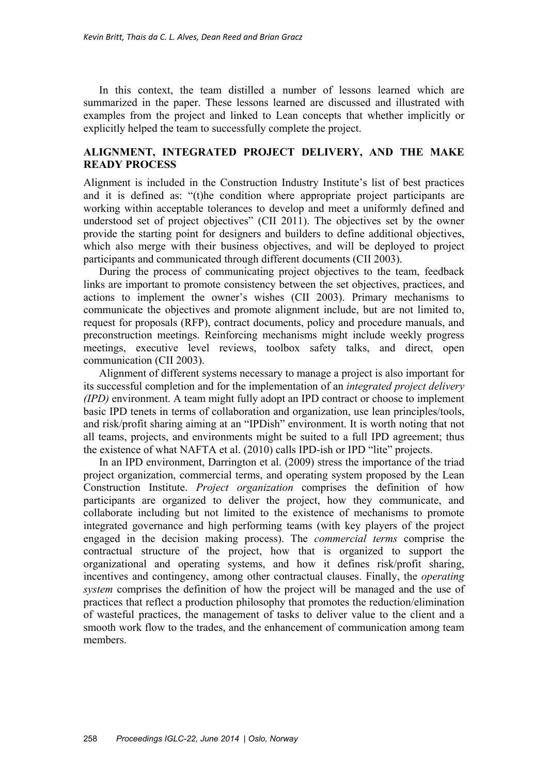In this context, the team distilled a number of lessons learned which are summarized in the paper. These lessons learned are discussed and illustrated with examples from the project and linked to Lean concepts that whether implicitly or explicitly helped the team to successfully complete the project.

## **ALIGNMENT, INTEGRATED PROJECT DELIVERY, AND THE MAKE READY PROCESS**

Alignment is included in the Construction Industry Institute's list of best practices and it is defined as: "(t)he condition where appropriate project participants are working within acceptable tolerances to develop and meet a uniformly defined and understood set of project objectives" (CII 2011). The objectives set by the owner provide the starting point for designers and builders to define additional objectives, which also merge with their business objectives, and will be deployed to project participants and communicated through different documents (CII 2003).

During the process of communicating project objectives to the team, feedback links are important to promote consistency between the set objectives, practices, and actions to implement the owner's wishes (CII 2003). Primary mechanisms to communicate the objectives and promote alignment include, but are not limited to, request for proposals (RFP), contract documents, policy and procedure manuals, and preconstruction meetings. Reinforcing mechanisms might include weekly progress meetings, executive level reviews, toolbox safety talks, and direct, open communication (CII 2003).

Alignment of different systems necessary to manage a project is also important for its successful completion and for the implementation of an *integrated project delivery (IPD)* environment. A team might fully adopt an IPD contract or choose to implement basic IPD tenets in terms of collaboration and organization, use lean principles/tools, and risk/profit sharing aiming at an "IPDish" environment. It is worth noting that not all teams, projects, and environments might be suited to a full IPD agreement; thus the existence of what NAFTA et al. (2010) calls IPD-ish or IPD "lite" projects.

In an IPD environment, Darrington et al. (2009) stress the importance of the triad project organization, commercial terms, and operating system proposed by the Lean Construction Institute. *Project organization* comprises the definition of how participants are organized to deliver the project, how they communicate, and collaborate including but not limited to the existence of mechanisms to promote integrated governance and high performing teams (with key players of the project engaged in the decision making process). The *commercial terms* comprise the contractual structure of the project, how that is organized to support the organizational and operating systems, and how it defines risk/profit sharing, incentives and contingency, among other contractual clauses. Finally, the *operating system* comprises the definition of how the project will be managed and the use of practices that reflect a production philosophy that promotes the reduction/elimination of wasteful practices, the management of tasks to deliver value to the client and a smooth work flow to the trades, and the enhancement of communication among team members.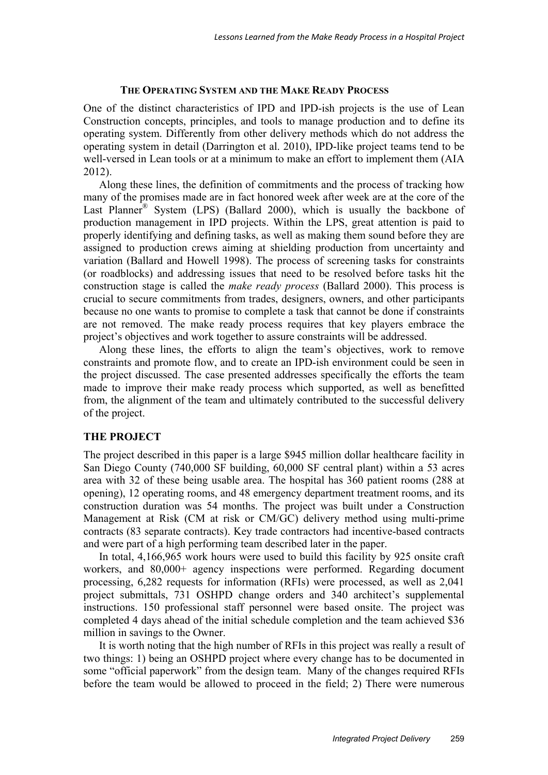#### **THE OPERATING SYSTEM AND THE MAKE READY PROCESS**

One of the distinct characteristics of IPD and IPD-ish projects is the use of Lean Construction concepts, principles, and tools to manage production and to define its operating system. Differently from other delivery methods which do not address the operating system in detail (Darrington et al. 2010), IPD-like project teams tend to be well-versed in Lean tools or at a minimum to make an effort to implement them (AIA 2012).

Along these lines, the definition of commitments and the process of tracking how many of the promises made are in fact honored week after week are at the core of the Last Planner<sup>®</sup> System (LPS) (Ballard 2000), which is usually the backbone of production management in IPD projects. Within the LPS, great attention is paid to properly identifying and defining tasks, as well as making them sound before they are assigned to production crews aiming at shielding production from uncertainty and variation (Ballard and Howell 1998). The process of screening tasks for constraints (or roadblocks) and addressing issues that need to be resolved before tasks hit the construction stage is called the *make ready process* (Ballard 2000). This process is crucial to secure commitments from trades, designers, owners, and other participants because no one wants to promise to complete a task that cannot be done if constraints are not removed. The make ready process requires that key players embrace the project's objectives and work together to assure constraints will be addressed.

Along these lines, the efforts to align the team's objectives, work to remove constraints and promote flow, and to create an IPD-ish environment could be seen in the project discussed. The case presented addresses specifically the efforts the team made to improve their make ready process which supported, as well as benefitted from, the alignment of the team and ultimately contributed to the successful delivery of the project.

### **THE PROJECT**

The project described in this paper is a large \$945 million dollar healthcare facility in San Diego County (740,000 SF building, 60,000 SF central plant) within a 53 acres area with 32 of these being usable area. The hospital has 360 patient rooms (288 at opening), 12 operating rooms, and 48 emergency department treatment rooms, and its construction duration was 54 months. The project was built under a Construction Management at Risk (CM at risk or CM/GC) delivery method using multi-prime contracts (83 separate contracts). Key trade contractors had incentive-based contracts and were part of a high performing team described later in the paper.

In total, 4,166,965 work hours were used to build this facility by 925 onsite craft workers, and 80,000+ agency inspections were performed. Regarding document processing, 6,282 requests for information (RFIs) were processed, as well as 2,041 project submittals, 731 OSHPD change orders and 340 architect's supplemental instructions. 150 professional staff personnel were based onsite. The project was completed 4 days ahead of the initial schedule completion and the team achieved \$36 million in savings to the Owner.

It is worth noting that the high number of RFIs in this project was really a result of two things: 1) being an OSHPD project where every change has to be documented in some "official paperwork" from the design team. Many of the changes required RFIs before the team would be allowed to proceed in the field; 2) There were numerous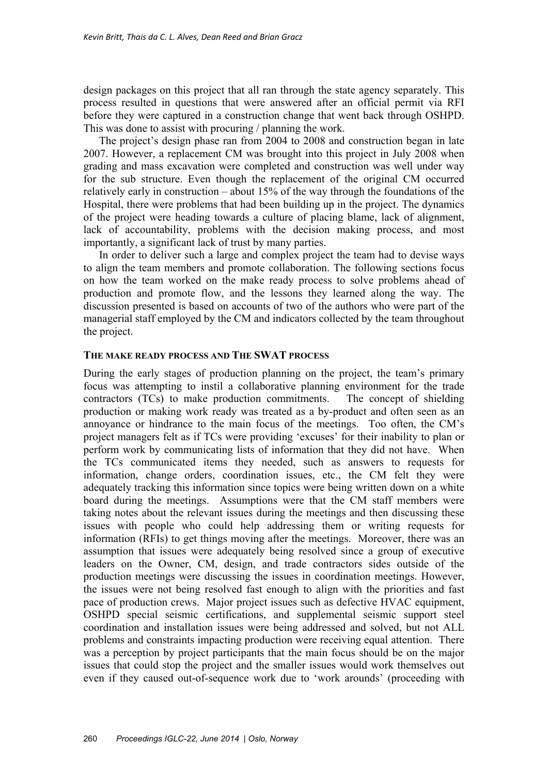design packages on this project that all ran through the state agency separately. This process resulted in questions that were answered after an official permit via RFI before they were captured in a construction change that went back through OSHPD. This was done to assist with procuring / planning the work.

The project's design phase ran from 2004 to 2008 and construction began in late 2007. However, a replacement CM was brought into this project in July 2008 when grading and mass excavation were completed and construction was well under way for the sub structure. Even though the replacement of the original CM occurred relatively early in construction – about 15% of the way through the foundations of the Hospital, there were problems that had been building up in the project. The dynamics of the project were heading towards a culture of placing blame, lack of alignment, lack of accountability, problems with the decision making process, and most importantly, a significant lack of trust by many parties.

In order to deliver such a large and complex project the team had to devise ways to align the team members and promote collaboration. The following sections focus on how the team worked on the make ready process to solve problems ahead of production and promote flow, and the lessons they learned along the way. The discussion presented is based on accounts of two of the authors who were part of the managerial staff employed by the CM and indicators collected by the team throughout the project.

### **THE MAKE READY PROCESS AND THE SWAT PROCESS**

During the early stages of production planning on the project, the team's primary focus was attempting to instil a collaborative planning environment for the trade contractors (TCs) to make production commitments. The concept of shielding production or making work ready was treated as a by-product and often seen as an annoyance or hindrance to the main focus of the meetings. Too often, the CM's project managers felt as if TCs were providing 'excuses' for their inability to plan or perform work by communicating lists of information that they did not have. When the TCs communicated items they needed, such as answers to requests for information, change orders, coordination issues, etc., the CM felt they were adequately tracking this information since topics were being written down on a white board during the meetings. Assumptions were that the CM staff members were taking notes about the relevant issues during the meetings and then discussing these issues with people who could help addressing them or writing requests for information (RFIs) to get things moving after the meetings. Moreover, there was an assumption that issues were adequately being resolved since a group of executive leaders on the Owner, CM, design, and trade contractors sides outside of the production meetings were discussing the issues in coordination meetings. However, the issues were not being resolved fast enough to align with the priorities and fast pace of production crews. Major project issues such as defective HVAC equipment, OSHPD special seismic certifications, and supplemental seismic support steel coordination and installation issues were being addressed and solved, but not ALL problems and constraints impacting production were receiving equal attention. There was a perception by project participants that the main focus should be on the major issues that could stop the project and the smaller issues would work themselves out even if they caused out-of-sequence work due to 'work arounds' (proceeding with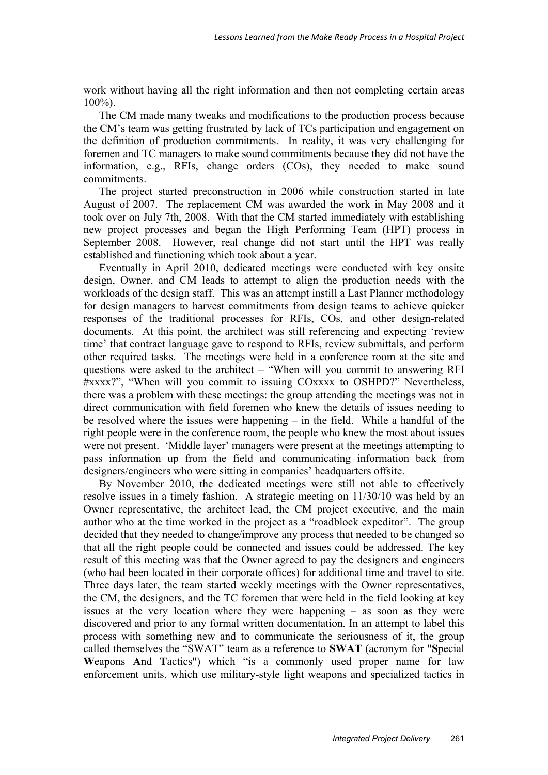work without having all the right information and then not completing certain areas 100%).

The CM made many tweaks and modifications to the production process because the CM's team was getting frustrated by lack of TCs participation and engagement on the definition of production commitments. In reality, it was very challenging for foremen and TC managers to make sound commitments because they did not have the information, e.g., RFIs, change orders (COs), they needed to make sound commitments.

The project started preconstruction in 2006 while construction started in late August of 2007. The replacement CM was awarded the work in May 2008 and it took over on July 7th, 2008. With that the CM started immediately with establishing new project processes and began the High Performing Team (HPT) process in September 2008. However, real change did not start until the HPT was really established and functioning which took about a year.

Eventually in April 2010, dedicated meetings were conducted with key onsite design, Owner, and CM leads to attempt to align the production needs with the workloads of the design staff. This was an attempt instill a Last Planner methodology for design managers to harvest commitments from design teams to achieve quicker responses of the traditional processes for RFIs, COs, and other design-related documents. At this point, the architect was still referencing and expecting 'review time' that contract language gave to respond to RFIs, review submittals, and perform other required tasks. The meetings were held in a conference room at the site and questions were asked to the architect – "When will you commit to answering RFI #xxxx?", "When will you commit to issuing COxxxx to OSHPD?" Nevertheless, there was a problem with these meetings: the group attending the meetings was not in direct communication with field foremen who knew the details of issues needing to be resolved where the issues were happening – in the field. While a handful of the right people were in the conference room, the people who knew the most about issues were not present. 'Middle layer' managers were present at the meetings attempting to pass information up from the field and communicating information back from designers/engineers who were sitting in companies' headquarters offsite.

By November 2010, the dedicated meetings were still not able to effectively resolve issues in a timely fashion. A strategic meeting on 11/30/10 was held by an Owner representative, the architect lead, the CM project executive, and the main author who at the time worked in the project as a "roadblock expeditor". The group decided that they needed to change/improve any process that needed to be changed so that all the right people could be connected and issues could be addressed. The key result of this meeting was that the Owner agreed to pay the designers and engineers (who had been located in their corporate offices) for additional time and travel to site. Three days later, the team started weekly meetings with the Owner representatives, the CM, the designers, and the TC foremen that were held in the field looking at key issues at the very location where they were happening – as soon as they were discovered and prior to any formal written documentation. In an attempt to label this process with something new and to communicate the seriousness of it, the group called themselves the "SWAT" team as a reference to **SWAT** (acronym for "**S**pecial **W**eapons **A**nd **T**actics") which "is a commonly used proper name for law enforcement units, which use military-style light weapons and specialized tactics in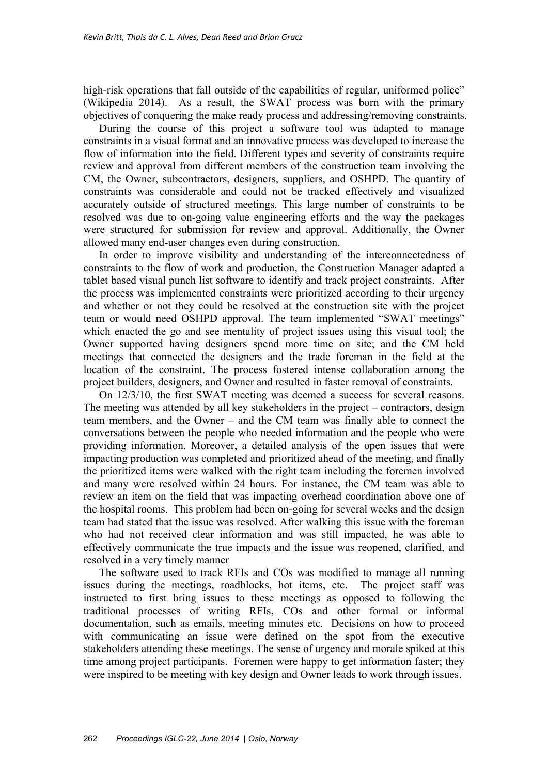high-risk operations that fall outside of the capabilities of regular, uniformed police" (Wikipedia 2014). As a result, the SWAT process was born with the primary objectives of conquering the make ready process and addressing/removing constraints.

During the course of this project a software tool was adapted to manage constraints in a visual format and an innovative process was developed to increase the flow of information into the field. Different types and severity of constraints require review and approval from different members of the construction team involving the CM, the Owner, subcontractors, designers, suppliers, and OSHPD. The quantity of constraints was considerable and could not be tracked effectively and visualized accurately outside of structured meetings. This large number of constraints to be resolved was due to on-going value engineering efforts and the way the packages were structured for submission for review and approval. Additionally, the Owner allowed many end-user changes even during construction.

In order to improve visibility and understanding of the interconnectedness of constraints to the flow of work and production, the Construction Manager adapted a tablet based visual punch list software to identify and track project constraints. After the process was implemented constraints were prioritized according to their urgency and whether or not they could be resolved at the construction site with the project team or would need OSHPD approval. The team implemented "SWAT meetings" which enacted the go and see mentality of project issues using this visual tool; the Owner supported having designers spend more time on site; and the CM held meetings that connected the designers and the trade foreman in the field at the location of the constraint. The process fostered intense collaboration among the project builders, designers, and Owner and resulted in faster removal of constraints.

On 12/3/10, the first SWAT meeting was deemed a success for several reasons. The meeting was attended by all key stakeholders in the project – contractors, design team members, and the Owner – and the CM team was finally able to connect the conversations between the people who needed information and the people who were providing information. Moreover, a detailed analysis of the open issues that were impacting production was completed and prioritized ahead of the meeting, and finally the prioritized items were walked with the right team including the foremen involved and many were resolved within 24 hours. For instance, the CM team was able to review an item on the field that was impacting overhead coordination above one of the hospital rooms. This problem had been on-going for several weeks and the design team had stated that the issue was resolved. After walking this issue with the foreman who had not received clear information and was still impacted, he was able to effectively communicate the true impacts and the issue was reopened, clarified, and resolved in a very timely manner

The software used to track RFIs and COs was modified to manage all running issues during the meetings, roadblocks, hot items, etc. The project staff was instructed to first bring issues to these meetings as opposed to following the traditional processes of writing RFIs, COs and other formal or informal documentation, such as emails, meeting minutes etc. Decisions on how to proceed with communicating an issue were defined on the spot from the executive stakeholders attending these meetings. The sense of urgency and morale spiked at this time among project participants. Foremen were happy to get information faster; they were inspired to be meeting with key design and Owner leads to work through issues.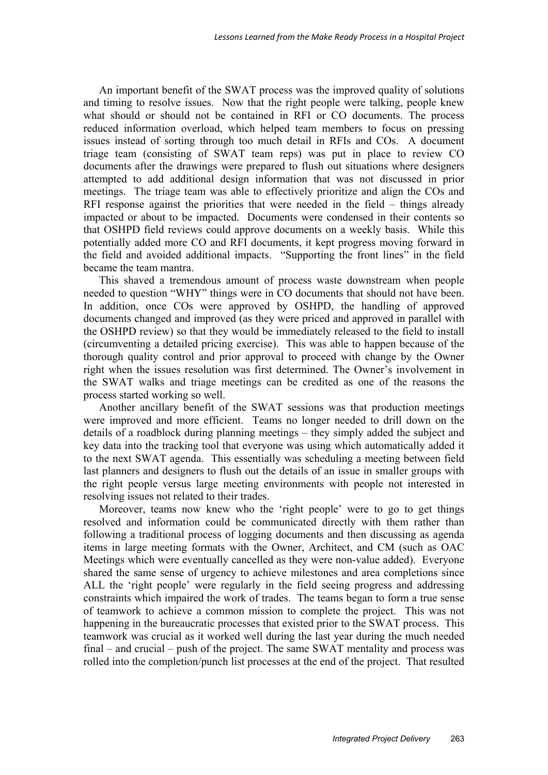An important benefit of the SWAT process was the improved quality of solutions and timing to resolve issues. Now that the right people were talking, people knew what should or should not be contained in RFI or CO documents. The process reduced information overload, which helped team members to focus on pressing issues instead of sorting through too much detail in RFIs and COs. A document triage team (consisting of SWAT team reps) was put in place to review CO documents after the drawings were prepared to flush out situations where designers attempted to add additional design information that was not discussed in prior meetings. The triage team was able to effectively prioritize and align the COs and RFI response against the priorities that were needed in the field – things already impacted or about to be impacted. Documents were condensed in their contents so that OSHPD field reviews could approve documents on a weekly basis. While this potentially added more CO and RFI documents, it kept progress moving forward in the field and avoided additional impacts. "Supporting the front lines" in the field became the team mantra.

This shaved a tremendous amount of process waste downstream when people needed to question "WHY" things were in CO documents that should not have been. In addition, once COs were approved by OSHPD, the handling of approved documents changed and improved (as they were priced and approved in parallel with the OSHPD review) so that they would be immediately released to the field to install (circumventing a detailed pricing exercise). This was able to happen because of the thorough quality control and prior approval to proceed with change by the Owner right when the issues resolution was first determined. The Owner's involvement in the SWAT walks and triage meetings can be credited as one of the reasons the process started working so well.

Another ancillary benefit of the SWAT sessions was that production meetings were improved and more efficient. Teams no longer needed to drill down on the details of a roadblock during planning meetings – they simply added the subject and key data into the tracking tool that everyone was using which automatically added it to the next SWAT agenda. This essentially was scheduling a meeting between field last planners and designers to flush out the details of an issue in smaller groups with the right people versus large meeting environments with people not interested in resolving issues not related to their trades.

Moreover, teams now knew who the 'right people' were to go to get things resolved and information could be communicated directly with them rather than following a traditional process of logging documents and then discussing as agenda items in large meeting formats with the Owner, Architect, and CM (such as OAC Meetings which were eventually cancelled as they were non-value added). Everyone shared the same sense of urgency to achieve milestones and area completions since ALL the 'right people' were regularly in the field seeing progress and addressing constraints which impaired the work of trades. The teams began to form a true sense of teamwork to achieve a common mission to complete the project. This was not happening in the bureaucratic processes that existed prior to the SWAT process. This teamwork was crucial as it worked well during the last year during the much needed final – and crucial – push of the project. The same SWAT mentality and process was rolled into the completion/punch list processes at the end of the project. That resulted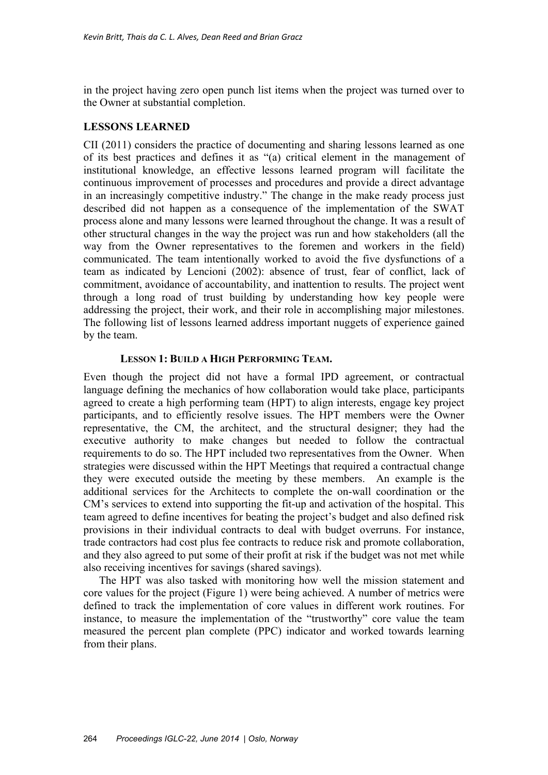in the project having zero open punch list items when the project was turned over to the Owner at substantial completion.

### **LESSONS LEARNED**

CII (2011) considers the practice of documenting and sharing lessons learned as one of its best practices and defines it as "(a) critical element in the management of institutional knowledge, an effective lessons learned program will facilitate the continuous improvement of processes and procedures and provide a direct advantage in an increasingly competitive industry." The change in the make ready process just described did not happen as a consequence of the implementation of the SWAT process alone and many lessons were learned throughout the change. It was a result of other structural changes in the way the project was run and how stakeholders (all the way from the Owner representatives to the foremen and workers in the field) communicated. The team intentionally worked to avoid the five dysfunctions of a team as indicated by Lencioni (2002): absence of trust, fear of conflict, lack of commitment, avoidance of accountability, and inattention to results. The project went through a long road of trust building by understanding how key people were addressing the project, their work, and their role in accomplishing major milestones. The following list of lessons learned address important nuggets of experience gained by the team.

### **LESSON 1: BUILD A HIGH PERFORMING TEAM.**

Even though the project did not have a formal IPD agreement, or contractual language defining the mechanics of how collaboration would take place, participants agreed to create a high performing team (HPT) to align interests, engage key project participants, and to efficiently resolve issues. The HPT members were the Owner representative, the CM, the architect, and the structural designer; they had the executive authority to make changes but needed to follow the contractual requirements to do so. The HPT included two representatives from the Owner. When strategies were discussed within the HPT Meetings that required a contractual change they were executed outside the meeting by these members. An example is the additional services for the Architects to complete the on-wall coordination or the CM's services to extend into supporting the fit-up and activation of the hospital. This team agreed to define incentives for beating the project's budget and also defined risk provisions in their individual contracts to deal with budget overruns. For instance, trade contractors had cost plus fee contracts to reduce risk and promote collaboration, and they also agreed to put some of their profit at risk if the budget was not met while also receiving incentives for savings (shared savings).

The HPT was also tasked with monitoring how well the mission statement and core values for the project (Figure 1) were being achieved. A number of metrics were defined to track the implementation of core values in different work routines. For instance, to measure the implementation of the "trustworthy" core value the team measured the percent plan complete (PPC) indicator and worked towards learning from their plans.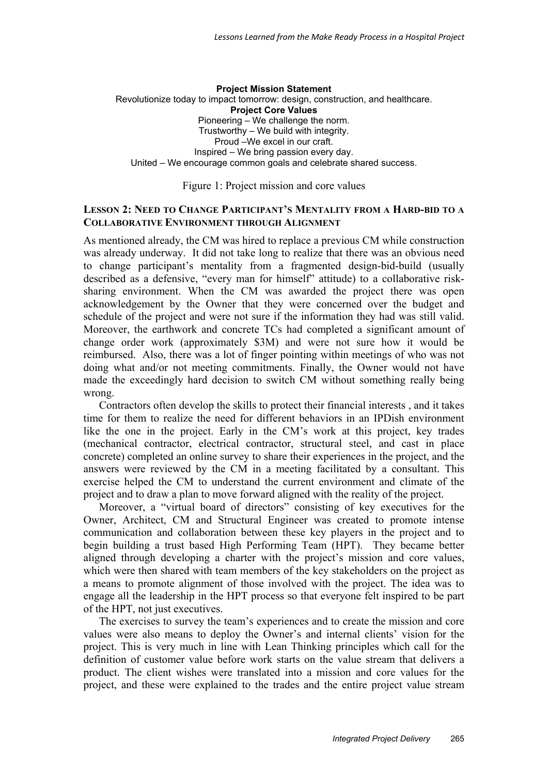#### **Project Mission Statement**  Revolutionize today to impact tomorrow: design, construction, and healthcare. **Project Core Values**  Pioneering – We challenge the norm. Trustworthy – We build with integrity. Proud –We excel in our craft. Inspired – We bring passion every day. United – We encourage common goals and celebrate shared success.

Figure 1: Project mission and core values

#### **LESSON 2: NEED TO CHANGE PARTICIPANT'S MENTALITY FROM A HARD-BID TO A COLLABORATIVE ENVIRONMENT THROUGH ALIGNMENT**

As mentioned already, the CM was hired to replace a previous CM while construction was already underway. It did not take long to realize that there was an obvious need to change participant's mentality from a fragmented design-bid-build (usually described as a defensive, "every man for himself" attitude) to a collaborative risksharing environment. When the CM was awarded the project there was open acknowledgement by the Owner that they were concerned over the budget and schedule of the project and were not sure if the information they had was still valid. Moreover, the earthwork and concrete TCs had completed a significant amount of change order work (approximately \$3M) and were not sure how it would be reimbursed. Also, there was a lot of finger pointing within meetings of who was not doing what and/or not meeting commitments. Finally, the Owner would not have made the exceedingly hard decision to switch CM without something really being wrong.

Contractors often develop the skills to protect their financial interests , and it takes time for them to realize the need for different behaviors in an IPDish environment like the one in the project. Early in the CM's work at this project, key trades (mechanical contractor, electrical contractor, structural steel, and cast in place concrete) completed an online survey to share their experiences in the project, and the answers were reviewed by the CM in a meeting facilitated by a consultant. This exercise helped the CM to understand the current environment and climate of the project and to draw a plan to move forward aligned with the reality of the project.

Moreover, a "virtual board of directors" consisting of key executives for the Owner, Architect, CM and Structural Engineer was created to promote intense communication and collaboration between these key players in the project and to begin building a trust based High Performing Team (HPT). They became better aligned through developing a charter with the project's mission and core values, which were then shared with team members of the key stakeholders on the project as a means to promote alignment of those involved with the project. The idea was to engage all the leadership in the HPT process so that everyone felt inspired to be part of the HPT, not just executives.

The exercises to survey the team's experiences and to create the mission and core values were also means to deploy the Owner's and internal clients' vision for the project. This is very much in line with Lean Thinking principles which call for the definition of customer value before work starts on the value stream that delivers a product. The client wishes were translated into a mission and core values for the project, and these were explained to the trades and the entire project value stream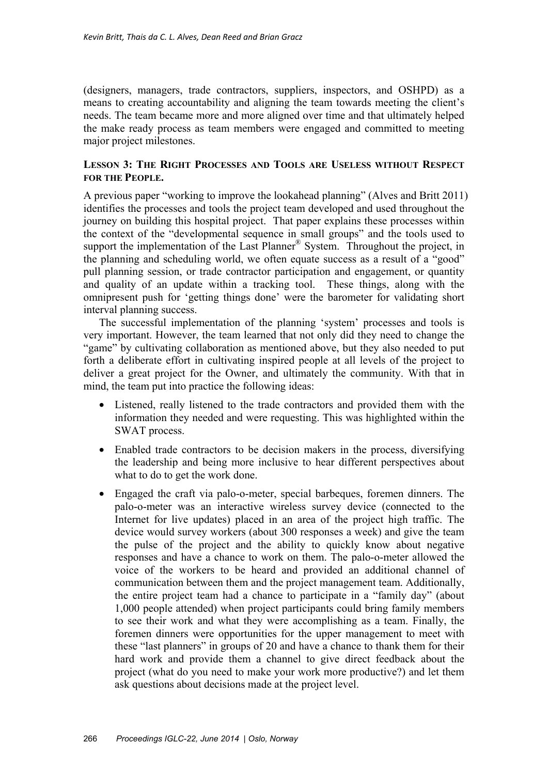(designers, managers, trade contractors, suppliers, inspectors, and OSHPD) as a means to creating accountability and aligning the team towards meeting the client's needs. The team became more and more aligned over time and that ultimately helped the make ready process as team members were engaged and committed to meeting major project milestones.

## **LESSON 3: THE RIGHT PROCESSES AND TOOLS ARE USELESS WITHOUT RESPECT FOR THE PEOPLE.**

A previous paper "working to improve the lookahead planning" (Alves and Britt 2011) identifies the processes and tools the project team developed and used throughout the journey on building this hospital project. That paper explains these processes within the context of the "developmental sequence in small groups" and the tools used to support the implementation of the Last Planner<sup>®</sup> System. Throughout the project, in the planning and scheduling world, we often equate success as a result of a "good" pull planning session, or trade contractor participation and engagement, or quantity and quality of an update within a tracking tool. These things, along with the omnipresent push for 'getting things done' were the barometer for validating short interval planning success.

The successful implementation of the planning 'system' processes and tools is very important. However, the team learned that not only did they need to change the "game" by cultivating collaboration as mentioned above, but they also needed to put forth a deliberate effort in cultivating inspired people at all levels of the project to deliver a great project for the Owner, and ultimately the community. With that in mind, the team put into practice the following ideas:

- Listened, really listened to the trade contractors and provided them with the information they needed and were requesting. This was highlighted within the SWAT process.
- Enabled trade contractors to be decision makers in the process, diversifying the leadership and being more inclusive to hear different perspectives about what to do to get the work done.
- Engaged the craft via palo-o-meter, special barbeques, foremen dinners. The palo-o-meter was an interactive wireless survey device (connected to the Internet for live updates) placed in an area of the project high traffic. The device would survey workers (about 300 responses a week) and give the team the pulse of the project and the ability to quickly know about negative responses and have a chance to work on them. The palo-o-meter allowed the voice of the workers to be heard and provided an additional channel of communication between them and the project management team. Additionally, the entire project team had a chance to participate in a "family day" (about 1,000 people attended) when project participants could bring family members to see their work and what they were accomplishing as a team. Finally, the foremen dinners were opportunities for the upper management to meet with these "last planners" in groups of 20 and have a chance to thank them for their hard work and provide them a channel to give direct feedback about the project (what do you need to make your work more productive?) and let them ask questions about decisions made at the project level.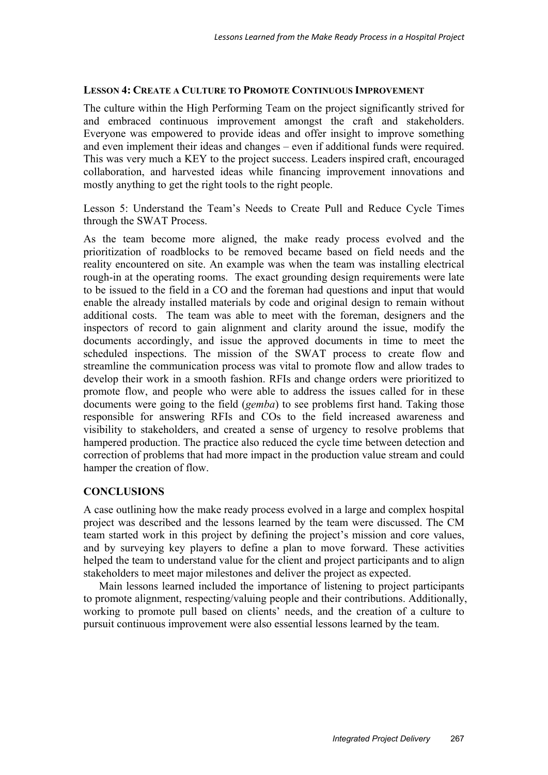#### **LESSON 4: CREATE A CULTURE TO PROMOTE CONTINUOUS IMPROVEMENT**

The culture within the High Performing Team on the project significantly strived for and embraced continuous improvement amongst the craft and stakeholders. Everyone was empowered to provide ideas and offer insight to improve something and even implement their ideas and changes – even if additional funds were required. This was very much a KEY to the project success. Leaders inspired craft, encouraged collaboration, and harvested ideas while financing improvement innovations and mostly anything to get the right tools to the right people.

Lesson 5: Understand the Team's Needs to Create Pull and Reduce Cycle Times through the SWAT Process.

As the team become more aligned, the make ready process evolved and the prioritization of roadblocks to be removed became based on field needs and the reality encountered on site. An example was when the team was installing electrical rough-in at the operating rooms. The exact grounding design requirements were late to be issued to the field in a CO and the foreman had questions and input that would enable the already installed materials by code and original design to remain without additional costs. The team was able to meet with the foreman, designers and the inspectors of record to gain alignment and clarity around the issue, modify the documents accordingly, and issue the approved documents in time to meet the scheduled inspections. The mission of the SWAT process to create flow and streamline the communication process was vital to promote flow and allow trades to develop their work in a smooth fashion. RFIs and change orders were prioritized to promote flow, and people who were able to address the issues called for in these documents were going to the field (*gemba*) to see problems first hand. Taking those responsible for answering RFIs and COs to the field increased awareness and visibility to stakeholders, and created a sense of urgency to resolve problems that hampered production. The practice also reduced the cycle time between detection and correction of problems that had more impact in the production value stream and could hamper the creation of flow.

### **CONCLUSIONS**

A case outlining how the make ready process evolved in a large and complex hospital project was described and the lessons learned by the team were discussed. The CM team started work in this project by defining the project's mission and core values, and by surveying key players to define a plan to move forward. These activities helped the team to understand value for the client and project participants and to align stakeholders to meet major milestones and deliver the project as expected.

Main lessons learned included the importance of listening to project participants to promote alignment, respecting/valuing people and their contributions. Additionally, working to promote pull based on clients' needs, and the creation of a culture to pursuit continuous improvement were also essential lessons learned by the team.